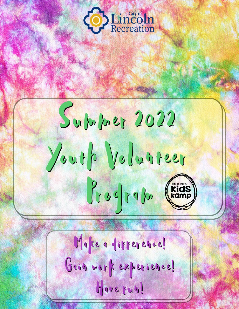

Supply 2022 Youth Volunteer  $\int y \circ c \int y \circ \int y$ , (kids)

Make a difference! Gain work experience! Have Fun!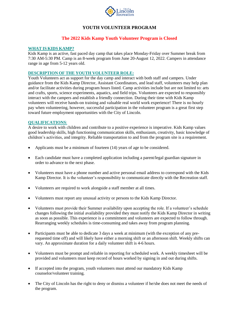

# **YOUTH VOLUNTEER PROGRAM**

# **The 2022 Kids Kamp Youth Volunteer Program is Closed**

### **WHAT IS KIDS KAMP?**

Kids Kamp is an active, fast paced day camp that takes place Monday-Friday over Summer break from 7:30 AM-5:30 PM. Camp is an 8-week program from June 20-August 12, 2022. Campers in attendance range in age from 5-12 years old.

#### **DESCRIPTION OF THE YOUTH VOLUNTEER ROLE:**

Youth Volunteers act as support for the day camp and interact with both staff and campers. Under guidance from the Kids Kamp Director, Assistant Coordinators, and lead staff, volunteers may help plan and/or facilitate activities during program hours listed. Camp activities include but are not limited to: arts and crafts, sports, science experiments, aquatics, and field trips. Volunteers are expected to responsibly interact with the campers and establish a friendly connection. During their time with Kids Kamp volunteers will receive hands-on training and valuable real world work experience! There is no hourly pay when volunteering, however, successful participation in the volunteer program is a great first step toward future employment opportunities with the City of Lincoln.

#### **QUALIFICATIONS**:

A desire to work with children and contribute to a positive experience is imperative. Kids Kamp values good leadership skills, high functioning communication skills, enthusiasm, creativity, basic knowledge of children's activities, and integrity. Reliable transportation to and from the program site is a requirement.

- Applicants must be a minimum of fourteen (14) years of age to be considered.
- Each candidate must have a completed application including a parent/legal guardian signature in order to advance to the next phase.
- Volunteers must have a phone number and active personal email address to correspond with the Kids Kamp Director. It is the volunteer's responsibility to communicate directly with the Recreation staff.
- Volunteers are required to work alongside a staff member at all times.
- Volunteers must report any unusual activity or persons to the Kids Kamp Director.
- Volunteers must provide their Summer availability upon accepting the role. If a volunteer's schedule changes following the initial availability provided they must notify the Kids Kamp Director in writing as soon as possible. This experience is a commitment and volunteers are expected to follow through. Rearranging weekly schedules is time-consuming and takes away from program planning.
- Participants must be able to dedicate 3 days a week at minimum (with the exception of any prerequested time off) and will likely have either a morning shift or an afternoon shift. Weekly shifts can vary. An approximate duration for a daily volunteer shift is 4-6 hours.
- Volunteers must be prompt and reliable in reporting for scheduled work. A weekly timesheet will be provided and volunteers must keep record of hours worked by signing in and out during shifts.
- If accepted into the program, youth volunteers must attend our mandatory Kids Kamp counselor/volunteer training.
- The City of Lincoln has the right to deny or dismiss a volunteer if he/she does not meet the needs of the program.